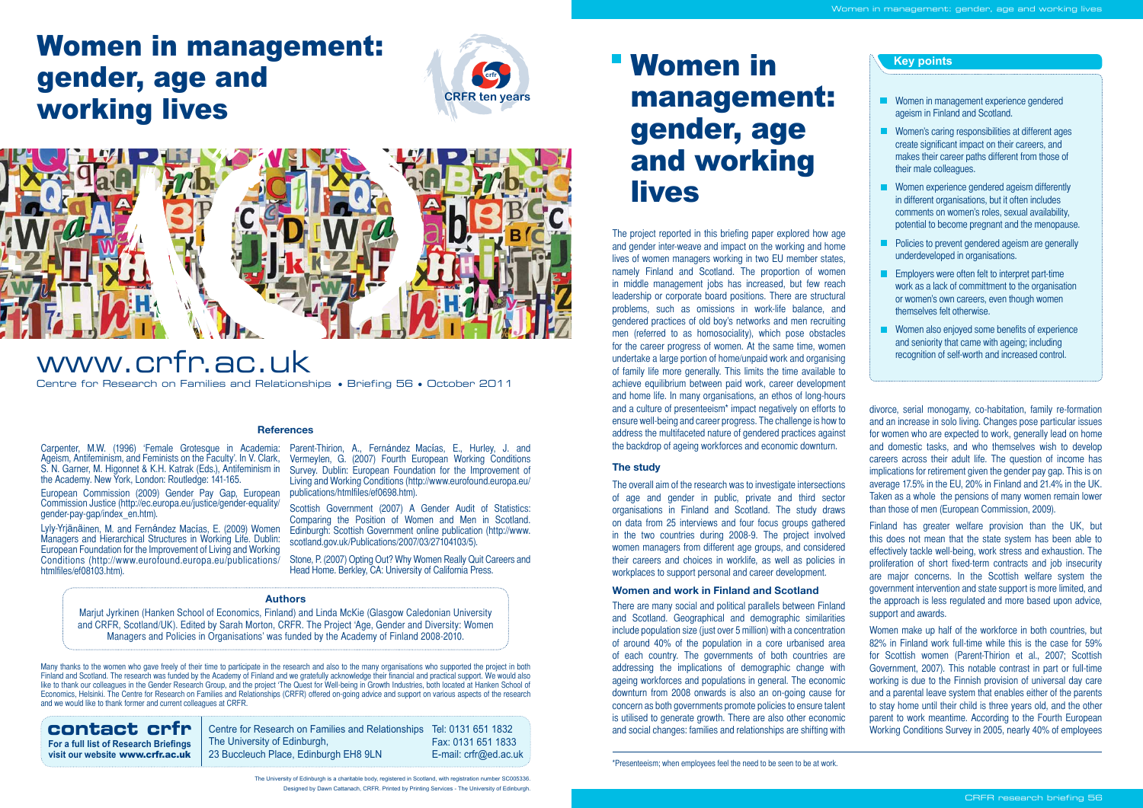#### **Authors**

Marjut Jyrkinen (Hanken School of Economics, Finland) and Linda McKie (Glasgow Caledonian University and CRFR, Scotland/UK). Edited by Sarah Morton, CRFR. The Project 'Age, Gender and Diversity: Women Managers and Policies in Organisations' was funded by the Academy of Finland 2008-2010.

The project reported in this briefing paper explored how age and gender inter-weave and impact on the working and home lives of women managers working in two EU member states, namely Finland and Scotland. The proportion of women in middle management jobs has increased, but few reach leadership or corporate board positions. There are structural problems, such as omissions in work-life balance, and gendered practices of old boy's networks and men recruiting men (referred to as homosociality), which pose obstacles for the career progress of women. At the same time, women undertake a large portion of home/unpaid work and organising of family life more generally. This limits the time available to achieve equilibrium between paid work, career development and home life. In many organisations, an ethos of long-hours and a culture of presenteeism\* impact negatively on efforts to ensure well-being and career progress. The challenge is how to address the multifaceted nature of gendered practices against the backdrop of ageing workforces and economic downturn.

Women in management: gender, age and working lives

There are many social and political parallels between Finland and Scotland. Geographical and demographic similarities include population size (just over 5 million) with a concentration of around 40% of the population in a core urbanised area of each country. The governments of both countries are addressing the implications of demographic change with ageing workforces and populations in general. The economic downturn from 2008 onwards is also an on-going cause for concern as both governments promote policies to ensure talent **CONTACT CPFI** Centre for Research on Families and Relationships Tel: 0131 651 1832 and social changes: families and relationships are shifting with and social changes: families and relationships are shifting with

| <b>Key points</b>                                                                                                                                                                                       |
|---------------------------------------------------------------------------------------------------------------------------------------------------------------------------------------------------------|
|                                                                                                                                                                                                         |
| Women in management experience gendered<br>ageism in Finland and Scotland.                                                                                                                              |
| Women's caring responsibilities at different ages<br>create significant impact on their careers, and<br>makes their career paths different from those of<br>their male colleagues.                      |
| Women experience gendered ageism differently<br>in different organisations, but it often includes<br>comments on women's roles, sexual availability,<br>potential to become pregnant and the menopause. |
| Policies to prevent gendered ageism are generally<br>underdeveloped in organisations.                                                                                                                   |
| Employers were often felt to interpret part-time<br>work as a lack of committment to the organisation<br>or women's own careers, even though women<br>themselves felt otherwise.                        |
| Women also enjoyed some benefits of experience<br>and seniority that came with ageing; including<br>recognition of self-worth and increased control.                                                    |

# **The study**

The overall aim of the research was to investigate intersections of age and gender in public, private and third sector organisations in Finland and Scotland. The study draws on data from 25 interviews and four focus groups gathered in the two countries during 2008-9. The project involved women managers from different age groups, and considered their careers and choices in worklife, as well as policies in workplaces to support personal and career development.

## **Women and work in Finland and Scotland**

The University of Edinburgh, 23 Buccleuch Place, Edinburgh EH8 9LN

**For a full list of Research Briefings visit our website** www.crfr.ac.uk

Fax: 0131 651 1833 E-mail: crfr@ed.ac.uk

Centre for Research on Families and Relationships • Briefing 56 • October 2011 www.crfr.ac.uk

> The University of Edinburgh is a charitable body, registered in Scotland, with registration number SC005336. Designed by Dawn Cattanach, CRFR. Printed by Printing Services - The University of Edinburgh.

Carpenter, M.W. (1996) 'Female Grotesque in Academia: Ageism, Antifeminism, and Feminists on the Faculty'. In V. Clark, S. N. Garner, M. Higonnet & K.H. Katrak (Eds.), Antifeminism in the Academy. New York, London: Routledge: 141-165.

European Commission (2009) Gender Pay Gap, European Commission Justice (http://ec.europa.eu/justice/gender-equality/ gender-pay-gap/index\_en.htm).

Lyly-Yrjänäinen, M. and Fernández Macías, E. (2009) Women Managers and Hierarchical Structures in Working Life. Dublin: European Foundation for the Improvement of Living and Working Conditions (http://www.eurofound.europa.eu/publications/ htmlfiles/ef08103.htm).

## **References**

divorce, serial monogamy, co-habitation, family re-formation and an increase in solo living. Changes pose particular issues for women who are expected to work, generally lead on home and domestic tasks, and who themselves wish to develop careers across their adult life. The question of income has implications for retirement given the gender pay gap. This is on average 17.5% in the EU, 20% in Finland and 21.4% in the UK. Taken as a whole the pensions of many women remain lower than those of men (European Commission, 2009).

Finland has greater welfare provision than the UK, but this does not mean that the state system has been able to effectively tackle well-being, work stress and exhaustion. The proliferation of short fixed-term contracts and job insecurity are major concerns. In the Scottish welfare system the government intervention and state support is more limited, and the approach is less regulated and more based upon advice, support and awards.

Women make up half of the workforce in both countries, but 82% in Finland work full-time while this is the case for 59% for Scottish women (Parent-Thirion et al., 2007; Scottish Government, 2007). This notable contrast in part or full-time working is due to the Finnish provision of universal day care and a parental leave system that enables either of the parents to stay home until their child is three years old, and the other parent to work meantime. According to the Fourth European Working Conditions Survey in 2005, nearly 40% of employees

Many thanks to the women who gave freely of their time to participate in the research and also to the many organisations who supported the project in both Finland and Scotland. The research was funded by the Academy of Finland and we gratefully acknowledge their financial and practical support. We would also like to thank our colleagues in the Gender Research Group, and the project 'The Quest for Well-being in Growth Industries, both located at Hanken School of Economics, Helsinki. The Centre for Research on Families and Relationships (CRFR) offered on-going advice and support on various aspects of the research and we would like to thank former and current colleagues at CRFR.

Parent-Thirion, A., Fernández Macías, E., Hurley, J. and Vermeylen, G. (2007) Fourth European Working Conditions Survey. Dublin: European Foundation for the Improvement of Living and Working Conditions (http://www.eurofound.europa.eu/ publications/htmlfiles/ef0698.htm).

Scottish Government (2007) A Gender Audit of Statistics: Comparing the Position of Women and Men in Scotland. Edinburgh: Scottish Government online publication (http://www. scotland.gov.uk/Publications/2007/03/27104103/5).

Stone, P. (2007) Opting Out? Why Women Really Quit Careers and Head Home. Berkley, CA: University of California Press.

\*Presenteeism; when employees feel the need to be seen to be at work.





# Women in management: gender, age and working lives